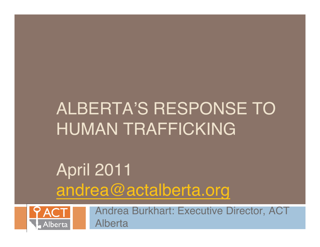## ALBERTA'S RESPONSE TO HUMAN TRAFFICKING

## April 2011 andrea@actalberta.org



Andrea Burkhart: Executive Director, ACT Alberta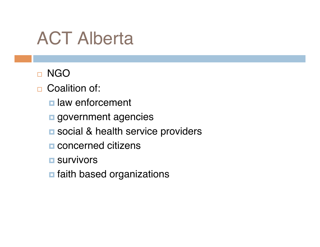## ACT Alberta

#### □ NGO

- □ Coalition of:
	- **<u>n</u>** law enforcement
	- **g** government agencies
	- **E** social & health service providers
	- **E** concerned citizens
	- **<u>n</u>** survivors
	- **n** faith based organizations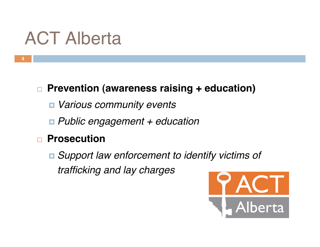# ACT Alberta

#### **Prevention (awareness raising + education)**

- *Various community events*
- *Public engagement + education*

#### **Prosecution**

 *Support law enforcement to identify victims of trafficking and lay charges*

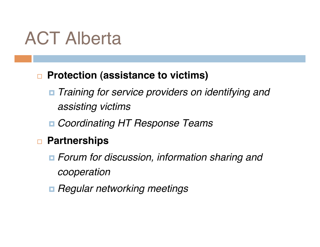## ACT Alberta

#### **□ Protection (assistance to victims)**

- *Training for service providers on identifying and assisting victims*
- *Coordinating HT Response Teams*

#### **Partnerships**

- *Forum for discussion, information sharing and cooperation*
- *Regular networking meetings*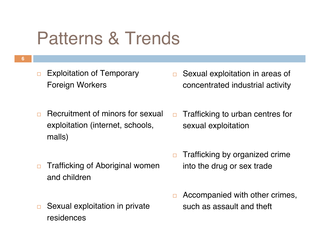## Patterns & Trends

 $\Box$  Exploitation of Temporary Foreign Workers

- $\Box$  Sexual exploitation in areas of concentrated industrial activity
- **Recruitment of minors for sexual** exploitation (internet, schools, malls)
- $\Box$  Trafficking to urban centres for sexual exploitation

- $\Box$  Trafficking of Aboriginal women and children
- $\Box$  Sexual exploitation in private residences
- $\Box$  Trafficking by organized crime into the drug or sex trade
- $\Box$  Accompanied with other crimes, such as assault and theft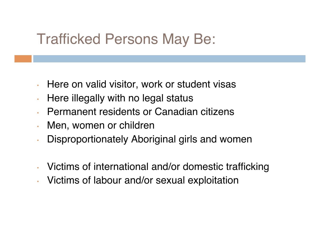#### Trafficked Persons May Be:

- Here on valid visitor, work or student visas
- Here illegally with no legal status
- Permanent residents or Canadian citizens
- Men, women or children
- Disproportionately Aboriginal girls and women
- Victims of international and/or domestic trafficking
- Victims of labour and/or sexual exploitation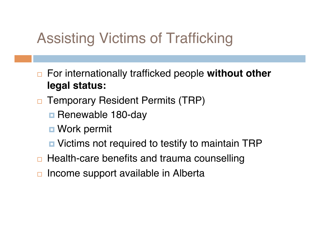### Assisting Victims of Trafficking

- For internationally trafficked people **without other legal status:**
- □ Temporary Resident Permits (TRP)
	- **Renewable 180-day**
	- **Work permit**
	- **□** Victims not required to testify to maintain TRP
- $\Box$  Health-care benefits and trauma counselling
- $\Box$  Income support available in Alberta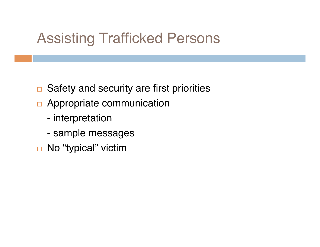#### Assisting Trafficked Persons

- $\Box$  Safety and security are first priorities
- □ Appropriate communication
	- interpretation
	- sample messages
- □ No "typical" victim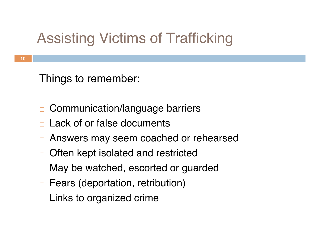### Assisting Victims of Trafficking

Things to remember:

- **□ Communication/language barriers**
- Lack of or false documents
- □ Answers may seem coached or rehearsed
- □ Often kept isolated and restricted
- **□ May be watched, escorted or guarded**
- □ Fears (deportation, retribution)
- $\Box$  Links to organized crime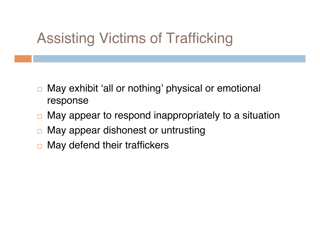### Assisting Victims of Trafficking

- May exhibit ʻall or nothing' physical or emotional response
- $\Box$  May appear to respond inappropriately to a situation
- $\Box$  May appear dishonest or untrusting
- $\Box$  May defend their traffickers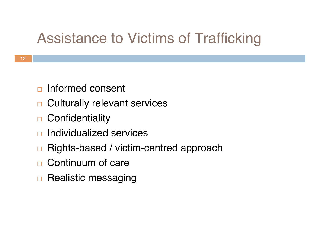### Assistance to Victims of Trafficking

- $\Box$  Informed consent
- □ Culturally relevant services
- □ Confidentiality
- Individualized services
- **□ Rights-based / victim-centred approach**
- □ Continuum of care
- $\Box$  Realistic messaging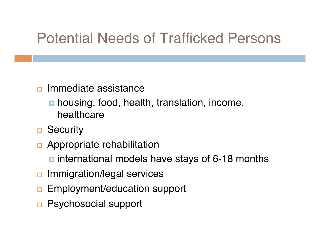### Potential Needs of Trafficked Persons

#### $\Box$  Immediate assistance

- **housing, food, health, translation, income,** healthcare
- □ Security
- **D** Appropriate rehabilitation
	- **n** international models have stays of 6-18 months
- **□** Immigration/legal services
- **Employment/education support**
- □ Psychosocial support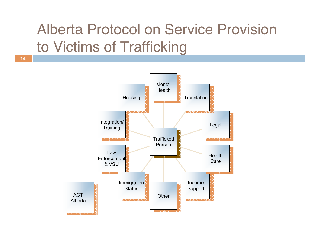### Alberta Protocol on Service Provision to Victims of Trafficking